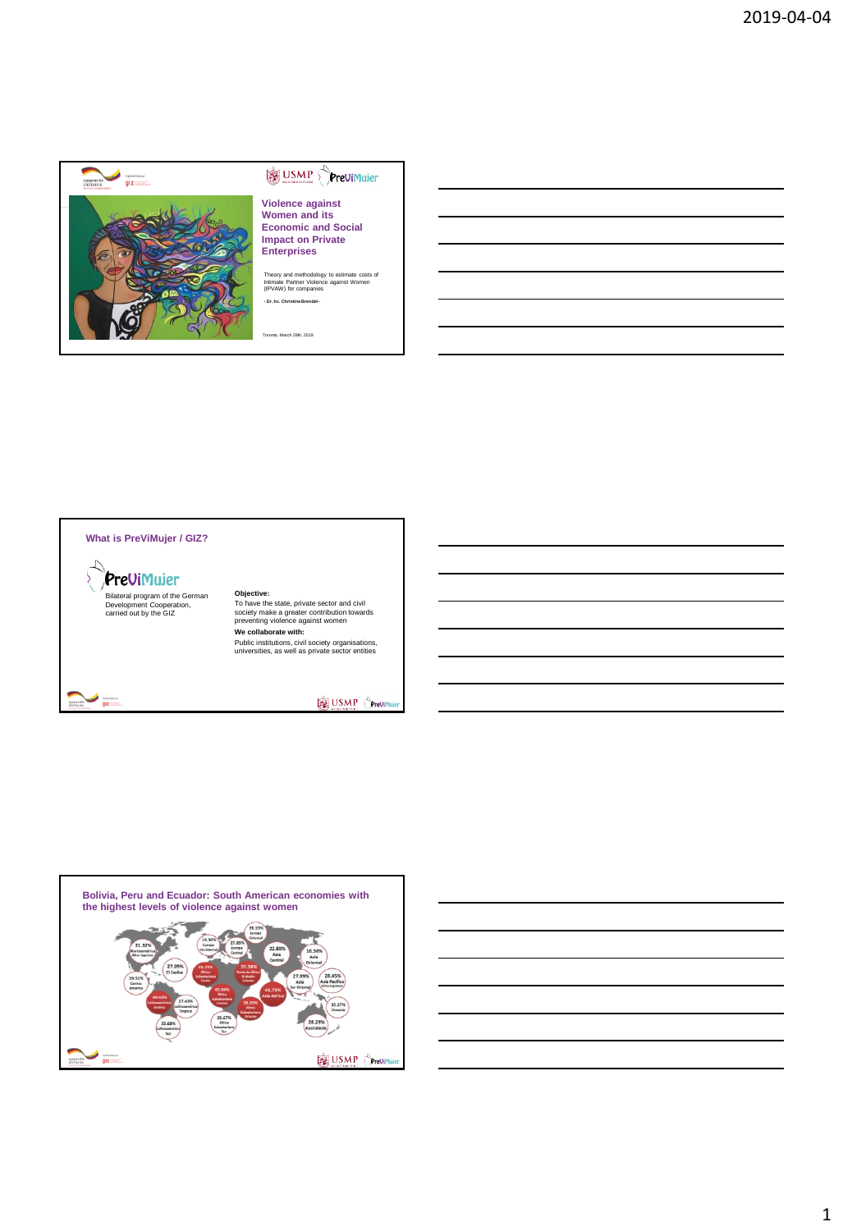

## USMP PreViMujer

**Violence against Women and its Economic and Social Impact on Private Enterprises**

Theory and methodology to estimate costs of Intimate Partner Violence against Women (IPVAW) for companies **- Dr. hc. Christine Brendel -**

Toronto, March 29th, 2019





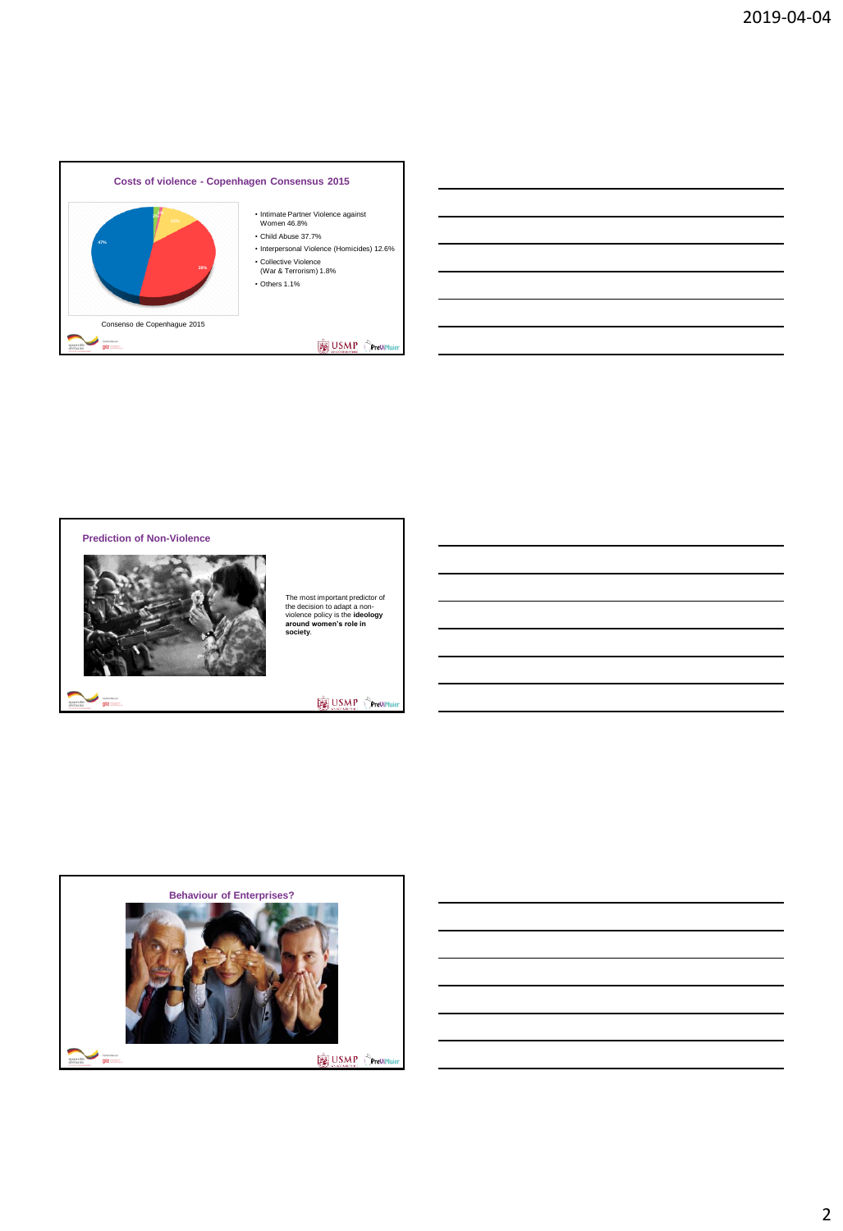



The most important predictor of the decision to adapt a non-violence policy is the **ideology around women's role in society**.

USMP Orevin

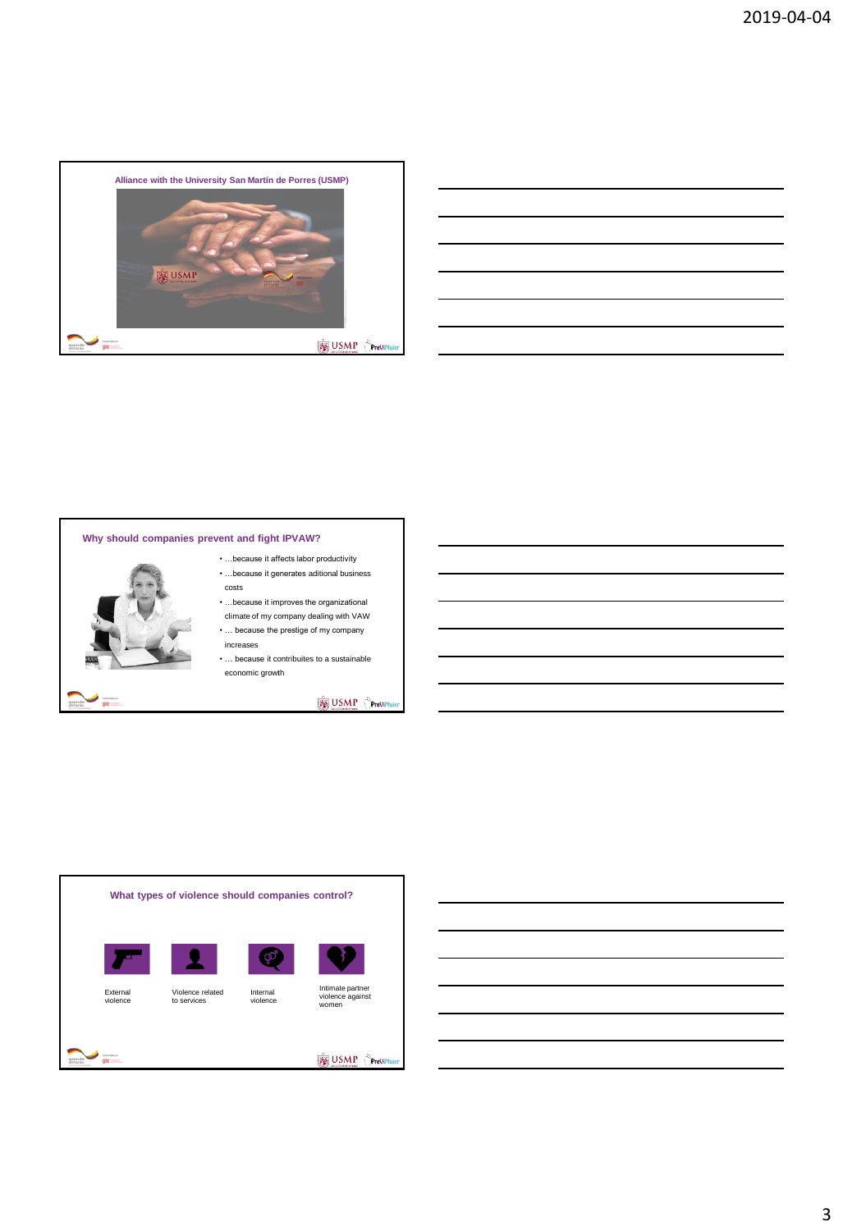



## **Why should companies prevent and fight IPVAW?**

 $\frac{1}{\sqrt{12}}$ 

- …because it affects labor productivity • …because it generates aditional business costs
- …because it improves the organizational climate of my company dealing with VAW
- … because the prestige of my company increases
- … because it contribuites to a sustainable economic growth

USMP Orevin



3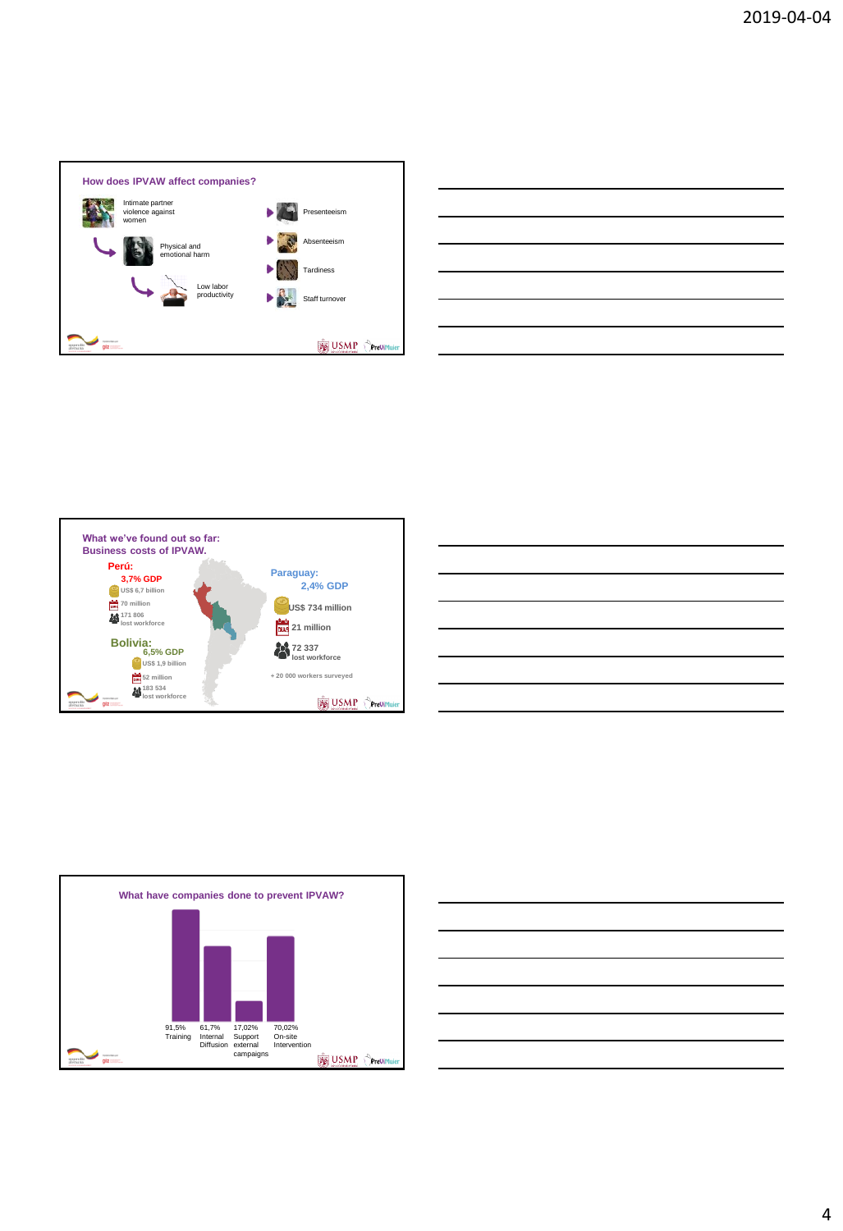